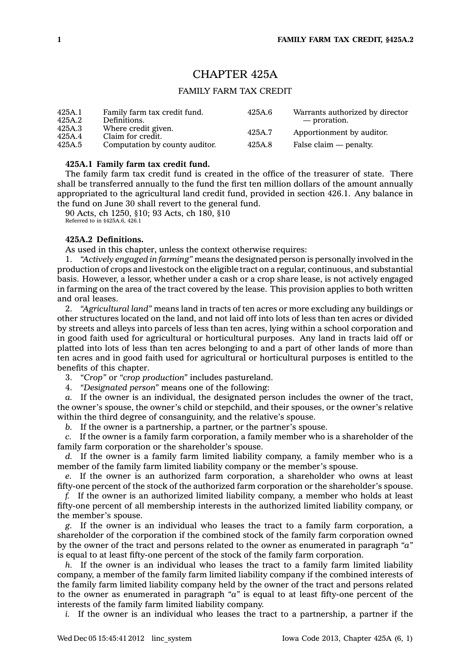# CHAPTER 425A

# FAMILY FARM TAX CREDIT

| 425A.1<br>425A.2 | Family farm tax credit fund.<br>Definitions. | 425A.6 | Warrants authorized by director<br>— proration. |
|------------------|----------------------------------------------|--------|-------------------------------------------------|
| 425A.3<br>425A.4 | Where credit given.<br>Claim for credit.     | 425A.7 | Apportionment by auditor.                       |
| 425A.5           | Computation by county auditor.               | 425A.8 | False claim — penalty.                          |

## **425A.1 Family farm tax credit fund.**

The family farm tax credit fund is created in the office of the treasurer of state. There shall be transferred annually to the fund the first ten million dollars of the amount annually appropriated to the agricultural land credit fund, provided in section 426.1. Any balance in the fund on June 30 shall revert to the general fund.

90 Acts, ch 1250, §10; 93 Acts, ch 180, §10

Referred to in §425A.6, 426.1

# **425A.2 Definitions.**

As used in this chapter, unless the context otherwise requires:

1. *"Actively engaged in farming"* means the designated person is personally involved in the production of crops and livestock on the eligible tract on <sup>a</sup> regular, continuous, and substantial basis. However, <sup>a</sup> lessor, whether under <sup>a</sup> cash or <sup>a</sup> crop share lease, is not actively engaged in farming on the area of the tract covered by the lease. This provision applies to both written and oral leases.

2. *"Agricultural land"* means land in tracts of ten acres or more excluding any buildings or other structures located on the land, and not laid off into lots of less than ten acres or divided by streets and alleys into parcels of less than ten acres, lying within <sup>a</sup> school corporation and in good faith used for agricultural or horticultural purposes. Any land in tracts laid off or platted into lots of less than ten acres belonging to and <sup>a</sup> part of other lands of more than ten acres and in good faith used for agricultural or horticultural purposes is entitled to the benefits of this chapter.

3. *"Crop"* or *"crop production"* includes pastureland.

4. *"Designated person"* means one of the following:

*a.* If the owner is an individual, the designated person includes the owner of the tract, the owner's spouse, the owner's child or stepchild, and their spouses, or the owner's relative within the third degree of consanguinity, and the relative's spouse.

*b.* If the owner is <sup>a</sup> partnership, <sup>a</sup> partner, or the partner's spouse.

*c.* If the owner is <sup>a</sup> family farm corporation, <sup>a</sup> family member who is <sup>a</sup> shareholder of the family farm corporation or the shareholder's spouse.

*d.* If the owner is <sup>a</sup> family farm limited liability company, <sup>a</sup> family member who is <sup>a</sup> member of the family farm limited liability company or the member's spouse.

*e.* If the owner is an authorized farm corporation, <sup>a</sup> shareholder who owns at least fifty-one percent of the stock of the authorized farm corporation or the shareholder's spouse.

*f.* If the owner is an authorized limited liability company, <sup>a</sup> member who holds at least fifty-one percent of all membership interests in the authorized limited liability company, or the member's spouse.

*g.* If the owner is an individual who leases the tract to <sup>a</sup> family farm corporation, <sup>a</sup> shareholder of the corporation if the combined stock of the family farm corporation owned by the owner of the tract and persons related to the owner as enumerated in paragraph *"a"* is equal to at least fifty-one percent of the stock of the family farm corporation.

*h.* If the owner is an individual who leases the tract to <sup>a</sup> family farm limited liability company, <sup>a</sup> member of the family farm limited liability company if the combined interests of the family farm limited liability company held by the owner of the tract and persons related to the owner as enumerated in paragraph *"a"* is equal to at least fifty-one percent of the interests of the family farm limited liability company.

*i.* If the owner is an individual who leases the tract to <sup>a</sup> partnership, <sup>a</sup> partner if the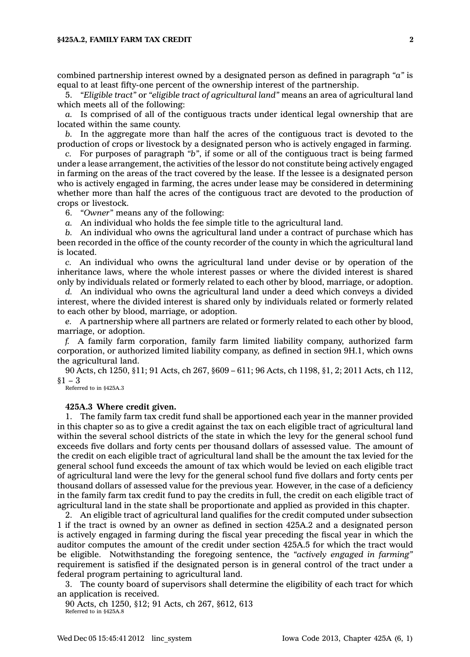#### **§425A.2, FAMILY FARM TAX CREDIT 2**

combined partnership interest owned by <sup>a</sup> designated person as defined in paragraph *"a"* is equal to at least fifty-one percent of the ownership interest of the partnership.

5. *"Eligible tract"* or *"eligible tract of agricultural land"* means an area of agricultural land which meets all of the following:

*a.* Is comprised of all of the contiguous tracts under identical legal ownership that are located within the same county.

*b.* In the aggregate more than half the acres of the contiguous tract is devoted to the production of crops or livestock by <sup>a</sup> designated person who is actively engaged in farming.

*c.* For purposes of paragraph *"b"*, if some or all of the contiguous tract is being farmed under <sup>a</sup> lease arrangement, the activities of the lessor do not constitute being actively engaged in farming on the areas of the tract covered by the lease. If the lessee is <sup>a</sup> designated person who is actively engaged in farming, the acres under lease may be considered in determining whether more than half the acres of the contiguous tract are devoted to the production of crops or livestock.

6. *"Owner"* means any of the following:

*a.* An individual who holds the fee simple title to the agricultural land.

*b.* An individual who owns the agricultural land under <sup>a</sup> contract of purchase which has been recorded in the office of the county recorder of the county in which the agricultural land is located.

*c.* An individual who owns the agricultural land under devise or by operation of the inheritance laws, where the whole interest passes or where the divided interest is shared only by individuals related or formerly related to each other by blood, marriage, or adoption.

*d.* An individual who owns the agricultural land under <sup>a</sup> deed which conveys <sup>a</sup> divided interest, where the divided interest is shared only by individuals related or formerly related to each other by blood, marriage, or adoption.

*e.* A partnership where all partners are related or formerly related to each other by blood, marriage, or adoption.

*f.* A family farm corporation, family farm limited liability company, authorized farm corporation, or authorized limited liability company, as defined in section 9H.1, which owns the agricultural land.

90 Acts, ch 1250, §11; 91 Acts, ch 267, §609 – 611; 96 Acts, ch 1198, §1, 2; 2011 Acts, ch 112,  $$1 - 3$ 

Referred to in §425A.3

### **425A.3 Where credit given.**

1. The family farm tax credit fund shall be apportioned each year in the manner provided in this chapter so as to give <sup>a</sup> credit against the tax on each eligible tract of agricultural land within the several school districts of the state in which the levy for the general school fund exceeds five dollars and forty cents per thousand dollars of assessed value. The amount of the credit on each eligible tract of agricultural land shall be the amount the tax levied for the general school fund exceeds the amount of tax which would be levied on each eligible tract of agricultural land were the levy for the general school fund five dollars and forty cents per thousand dollars of assessed value for the previous year. However, in the case of <sup>a</sup> deficiency in the family farm tax credit fund to pay the credits in full, the credit on each eligible tract of agricultural land in the state shall be proportionate and applied as provided in this chapter.

2. An eligible tract of agricultural land qualifies for the credit computed under subsection 1 if the tract is owned by an owner as defined in section 425A.2 and <sup>a</sup> designated person is actively engaged in farming during the fiscal year preceding the fiscal year in which the auditor computes the amount of the credit under section 425A.5 for which the tract would be eligible. Notwithstanding the foregoing sentence, the *"actively engaged in farming"* requirement is satisfied if the designated person is in general control of the tract under <sup>a</sup> federal program pertaining to agricultural land.

3. The county board of supervisors shall determine the eligibility of each tract for which an application is received.

90 Acts, ch 1250, §12; 91 Acts, ch 267, §612, 613 Referred to in §425A.8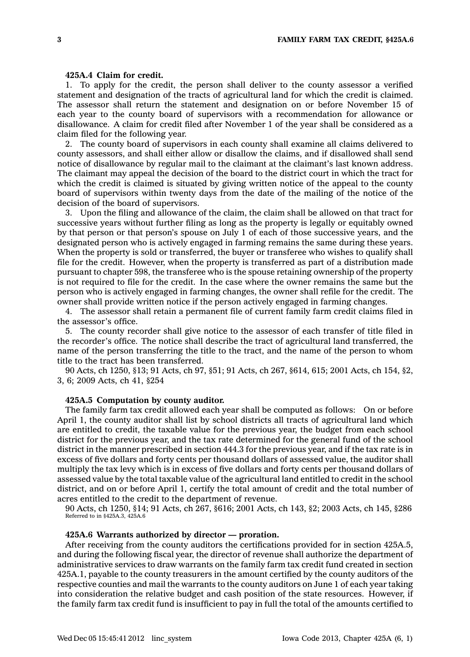# **425A.4 Claim for credit.**

1. To apply for the credit, the person shall deliver to the county assessor <sup>a</sup> verified statement and designation of the tracts of agricultural land for which the credit is claimed. The assessor shall return the statement and designation on or before November 15 of each year to the county board of supervisors with <sup>a</sup> recommendation for allowance or disallowance. A claim for credit filed after November 1 of the year shall be considered as <sup>a</sup> claim filed for the following year.

2. The county board of supervisors in each county shall examine all claims delivered to county assessors, and shall either allow or disallow the claims, and if disallowed shall send notice of disallowance by regular mail to the claimant at the claimant's last known address. The claimant may appeal the decision of the board to the district court in which the tract for which the credit is claimed is situated by giving written notice of the appeal to the county board of supervisors within twenty days from the date of the mailing of the notice of the decision of the board of supervisors.

3. Upon the filing and allowance of the claim, the claim shall be allowed on that tract for successive years without further filing as long as the property is legally or equitably owned by that person or that person's spouse on July 1 of each of those successive years, and the designated person who is actively engaged in farming remains the same during these years. When the property is sold or transferred, the buyer or transferee who wishes to qualify shall file for the credit. However, when the property is transferred as part of <sup>a</sup> distribution made pursuant to chapter 598, the transferee who is the spouse retaining ownership of the property is not required to file for the credit. In the case where the owner remains the same but the person who is actively engaged in farming changes, the owner shall refile for the credit. The owner shall provide written notice if the person actively engaged in farming changes.

4. The assessor shall retain <sup>a</sup> permanent file of current family farm credit claims filed in the assessor's office.

5. The county recorder shall give notice to the assessor of each transfer of title filed in the recorder's office. The notice shall describe the tract of agricultural land transferred, the name of the person transferring the title to the tract, and the name of the person to whom title to the tract has been transferred.

90 Acts, ch 1250, §13; 91 Acts, ch 97, §51; 91 Acts, ch 267, §614, 615; 2001 Acts, ch 154, §2, 3, 6; 2009 Acts, ch 41, §254

### **425A.5 Computation by county auditor.**

The family farm tax credit allowed each year shall be computed as follows: On or before April 1, the county auditor shall list by school districts all tracts of agricultural land which are entitled to credit, the taxable value for the previous year, the budget from each school district for the previous year, and the tax rate determined for the general fund of the school district in the manner prescribed in section 444.3 for the previous year, and if the tax rate is in excess of five dollars and forty cents per thousand dollars of assessed value, the auditor shall multiply the tax levy which is in excess of five dollars and forty cents per thousand dollars of assessed value by the total taxable value of the agricultural land entitled to credit in the school district, and on or before April 1, certify the total amount of credit and the total number of acres entitled to the credit to the department of revenue.

90 Acts, ch 1250, §14; 91 Acts, ch 267, §616; 2001 Acts, ch 143, §2; 2003 Acts, ch 145, §286 Referred to in §425A.3, 425A.6

### **425A.6 Warrants authorized by director — proration.**

After receiving from the county auditors the certifications provided for in section 425A.5, and during the following fiscal year, the director of revenue shall authorize the department of administrative services to draw warrants on the family farm tax credit fund created in section 425A.1, payable to the county treasurers in the amount certified by the county auditors of the respective counties and mail the warrants to the county auditors on June 1 of each year taking into consideration the relative budget and cash position of the state resources. However, if the family farm tax credit fund is insufficient to pay in full the total of the amounts certified to